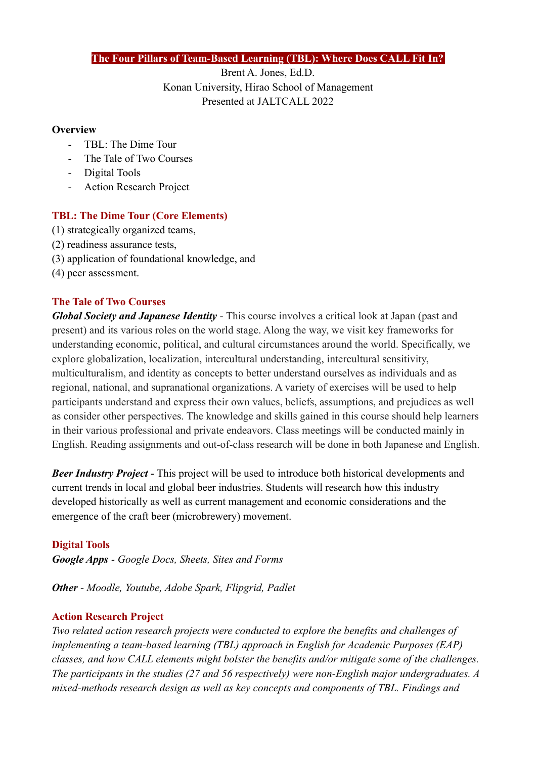#### **The Four Pillars of Team-Based Learning (TBL): Where Does CALL Fit In?**

Brent A. Jones, Ed.D. Konan University, Hirao School of Management Presented at JALTCALL 2022

#### **Overview**

- TBL: The Dime Tour
- The Tale of Two Courses
- Digital Tools
- Action Research Project

## **TBL: The Dime Tour (Core Elements)**

- (1) strategically organized teams,
- (2) readiness assurance tests,
- (3) application of foundational knowledge, and
- (4) peer assessment.

## **The Tale of Two Courses**

*Global Society and Japanese Identity* - This course involves a critical look at Japan (past and present) and its various roles on the world stage. Along the way, we visit key frameworks for understanding economic, political, and cultural circumstances around the world. Specifically, we explore globalization, localization, intercultural understanding, intercultural sensitivity, multiculturalism, and identity as concepts to better understand ourselves as individuals and as regional, national, and supranational organizations. A variety of exercises will be used to help participants understand and express their own values, beliefs, assumptions, and prejudices as well as consider other perspectives. The knowledge and skills gained in this course should help learners in their various professional and private endeavors. Class meetings will be conducted mainly in English. Reading assignments and out-of-class research will be done in both Japanese and English.

*Beer Industry Project* - This project will be used to introduce both historical developments and current trends in local and global beer industries. Students will research how this industry developed historically as well as current management and economic considerations and the emergence of the craft beer (microbrewery) movement.

# **Digital Tools**

*Google Apps - Google Docs, Sheets, Sites and Forms*

*Other - Moodle, Youtube, Adobe Spark, Flipgrid, Padlet*

# **Action Research Project**

*Two related action research projects were conducted to explore the benefits and challenges of implementing a team-based learning (TBL) approach in English for Academic Purposes (EAP) classes, and how CALL elements might bolster the benefits and/or mitigate some of the challenges. The participants in the studies (27 and 56 respectively) were non-English major undergraduates. A mixed-methods research design as well as key concepts and components of TBL. Findings and*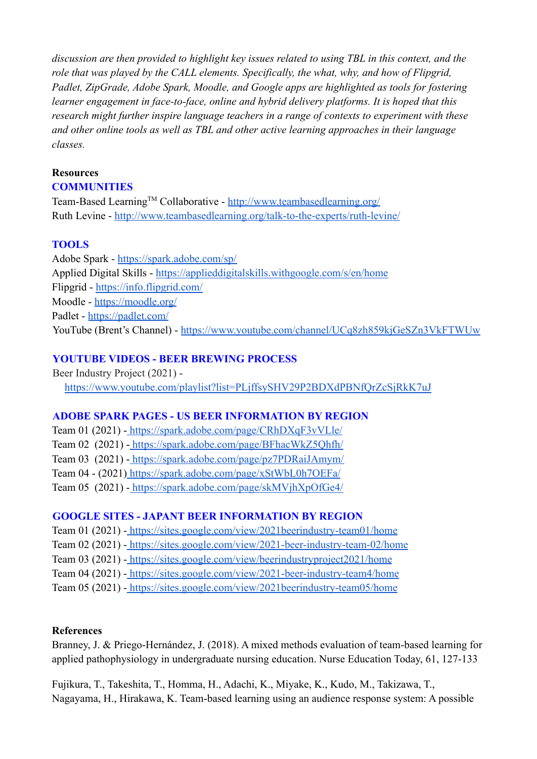*discussion are then provided to highlight key issues related to using TBL in this context, and the role that was played by the CALL elements. Specifically, the what, why, and how of Flipgrid, Padlet, ZipGrade, Adobe Spark, Moodle, and Google apps are highlighted as tools for fostering learner engagement in face-to-face, online and hybrid delivery platforms. It is hoped that this research might further inspire language teachers in a range of contexts to experiment with these and other online tools as well as TBL and other active learning approaches in their language classes.*

#### **Resources**

#### **COMMUNITIES**

Team-Based Learning™ Collaborative - <http://www.teambasedlearning.org/> Ruth Levine - <http://www.teambasedlearning.org/talk-to-the-experts/ruth-levine/>

## **TOOLS**

Adobe Spark - <https://spark.adobe.com/sp/> Applied Digital Skills - <https://applieddigitalskills.withgoogle.com/s/en/home> Flipgrid - <https://info.flipgrid.com/> Moodle - <https://moodle.org/> Padlet - <https://padlet.com/> YouTube (Brent's Channel) - <https://www.youtube.com/channel/UCq8zh859kjGeSZn3VkFTWUw>

## **YOUTUBE VIDEOS - BEER BREWING PROCESS**

Beer Industry Project (2021) <https://www.youtube.com/playlist?list=PLjffsySHV29P2BDXdPBNfQrZcSjRkK7uJ>

#### **ADOBE SPARK PAGES - US BEER INFORMATION BY REGION**

Team 01 (2021) - <https://spark.adobe.com/page/CRhDXqF3vVLle/> Team 02 (2021) - <https://spark.adobe.com/page/BFhacWkZ5Qhfh/> Team 03 (2021) - <https://spark.adobe.com/page/pz7PDRaiJAmym/> Team 04 - (2021) <https://spark.adobe.com/page/xStWbL0h7OEFa/> Team 05 (2021) - <https://spark.adobe.com/page/skMVjhXpOfGe4/>

## **GOOGLE SITES - JAPANT BEER INFORMATION BY REGION**

Team 01 (2021) - <https://sites.google.com/view/2021beerindustry-team01/home>

Team 02 (2021) - <https://sites.google.com/view/2021-beer-industry-team-02/home>

Team 03 (2021) - <https://sites.google.com/view/beerindustryproject2021/home>

Team 04 (2021) - <https://sites.google.com/view/2021-beer-industry-team4/home>

Team 05 (2021) - <https://sites.google.com/view/2021beerindustry-team05/home>

## **References**

Branney, J. & Priego-Hernández, J. (2018). A mixed methods evaluation of team-based learning for applied pathophysiology in undergraduate nursing education. Nurse Education Today, 61, 127-133

Fujikura, T., Takeshita, T., Homma, H., Adachi, K., Miyake, K., Kudo, M., Takizawa, T., Nagayama, H., Hirakawa, K. Team-based learning using an audience response system: A possible